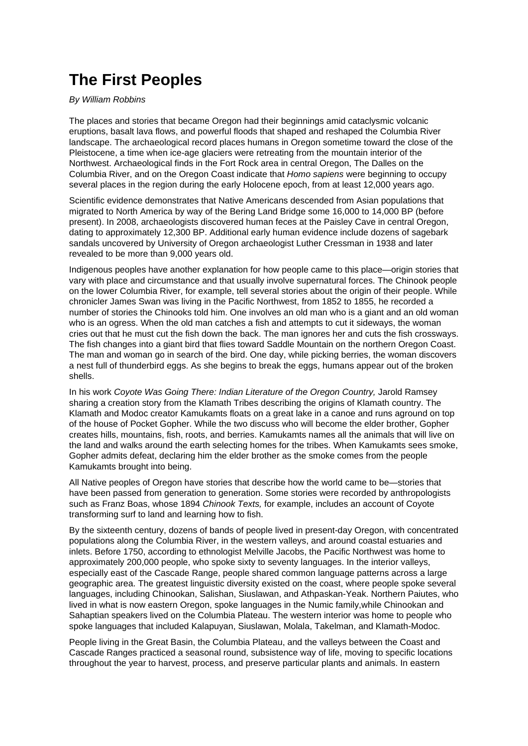## **The First Peoples**

## By William Robbins

The places and stories that became Oregon had their beginnings amid cataclysmic volcanic eruptions, basalt lava flows, and powerful floods that shaped and reshaped the Columbia River landscape. The archaeological record places humans in Oregon sometime toward the close of the Pleistocene, a time when ice-age glaciers were retreating from the mountain interior of the Northwest. Archaeological finds in the Fort Rock area in central Oregon, The Dalles on the Columbia River, and on the Oregon Coast indicate that Homo sapiens were beginning to occupy several places in the region during the early Holocene epoch, from at least 12,000 years ago.

Scientific evidence demonstrates that Native Americans descended from Asian populations that migrated to North America by way of the Bering Land Bridge some 16,000 to 14,000 BP (before present). In 2008, archaeologists discovered human feces at the Paisley Cave in central Oregon, dating to approximately 12,300 BP. Additional early human evidence include dozens of sagebark sandals uncovered by University of Oregon archaeologist Luther Cressman in 1938 and later revealed to be more than 9,000 years old.

Indigenous peoples have another explanation for how people came to this place—origin stories that vary with place and circumstance and that usually involve supernatural forces. The Chinook people on the lower Columbia River, for example, tell several stories about the origin of their people. While chronicler James Swan was living in the Pacific Northwest, from 1852 to 1855, he recorded a number of stories the Chinooks told him. One involves an old man who is a giant and an old woman who is an ogress. When the old man catches a fish and attempts to cut it sideways, the woman cries out that he must cut the fish down the back. The man ignores her and cuts the fish crossways. The fish changes into a giant bird that flies toward Saddle Mountain on the northern Oregon Coast. The man and woman go in search of the bird. One day, while picking berries, the woman discovers a nest full of thunderbird eggs. As she begins to break the eggs, humans appear out of the broken shells.

In his work Coyote Was Going There: Indian Literature of the Oregon Country, Jarold Ramsey sharing a creation story from the Klamath Tribes describing the origins of Klamath country. The Klamath and Modoc creator Kamukamts floats on a great lake in a canoe and runs aground on top of the house of Pocket Gopher. While the two discuss who will become the elder brother, Gopher creates hills, mountains, fish, roots, and berries. Kamukamts names all the animals that will live on the land and walks around the earth selecting homes for the tribes. When Kamukamts sees smoke, Gopher admits defeat, declaring him the elder brother as the smoke comes from the people Kamukamts brought into being.

All Native peoples of Oregon have stories that describe how the world came to be—stories that have been passed from generation to generation. Some stories were recorded by anthropologists such as Franz Boas, whose 1894 Chinook Texts, for example, includes an account of Coyote transforming surf to land and learning how to fish.

By the sixteenth century, dozens of bands of people lived in present-day Oregon, with concentrated populations along the Columbia River, in the western valleys, and around coastal estuaries and inlets. Before 1750, according to ethnologist Melville Jacobs, the Pacific Northwest was home to approximately 200,000 people, who spoke sixty to seventy languages. In the interior valleys, especially east of the Cascade Range, people shared common language patterns across a large geographic area. The greatest linguistic diversity existed on the coast, where people spoke several languages, including Chinookan, Salishan, Siuslawan, and Athpaskan-Yeak. Northern Paiutes, who lived in what is now eastern Oregon, spoke languages in the Numic family,while Chinookan and Sahaptian speakers lived on the Columbia Plateau. The western interior was home to people who spoke languages that included Kalapuyan, Siuslawan, Molala, Takelman, and Klamath-Modoc.

People living in the Great Basin, the Columbia Plateau, and the valleys between the Coast and Cascade Ranges practiced a seasonal round, subsistence way of life, moving to specific locations throughout the year to harvest, process, and preserve particular plants and animals. In eastern